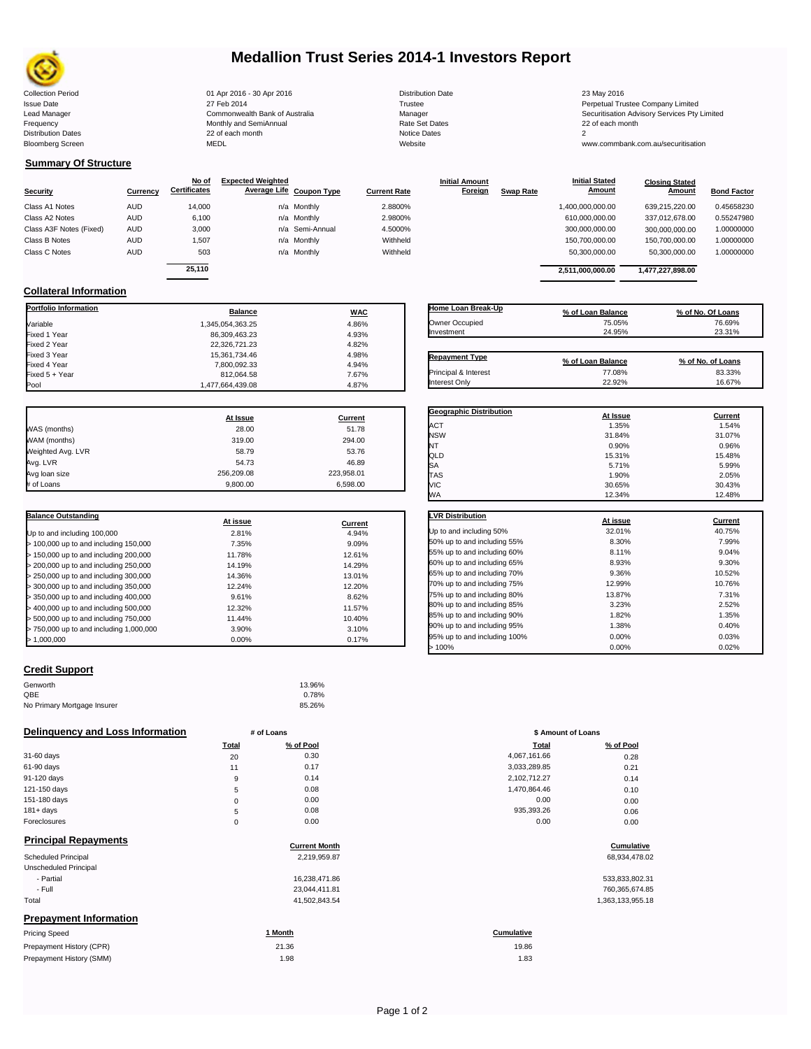

## **Medallion Trust Series 2014-1 Investors Report**

Collection Period 23 May 2016 - 30 Apr 2016 - 30 Apr 2016 - 2016 - 23 May 2016 - 23 May 2016 Issue Date 2014 27 Feb 2014 27 Feb 2014 27 Feb 2014 27 Feb 2014 27 Feb 2014 28 Ferretual Trustee Company Limited Frequency **Contract Contract Contract Contract Contract Contract Contract Contract Contract Contract Contract Contract Contract Contract Contract Contract Contract Contract Contract Contract Contract Contract Contract Cont** Distribution Dates and the control of each month and the control of the control of the Dates 22 of each month Notice D<br>Bloomberg Screen MEDL MEDL

Lead Manager **Commonwealth Bank of Australia** Manager Manager Manager Securitisation Advisory Services Pty Limited<br>Trequency **Securitisation Security and SemiAnnual** Manager Securities of Securitisation Advisory Services P

www.commbank.com.au/securitisation

#### **Summary Of Structure**

**Collateral Information**

| Security                | Currency   | No of<br><b>Certificates</b> | <b>Expected Weighted</b><br>Average Life Coupon Type |                 | <b>Current Rate</b> | <b>Initial Amount</b><br>Foreign | <b>Swap Rate</b> | <b>Initial Stated</b><br><b>Amount</b> | <b>Closing Stated</b><br>Amount | <b>Bond Factor</b> |
|-------------------------|------------|------------------------------|------------------------------------------------------|-----------------|---------------------|----------------------------------|------------------|----------------------------------------|---------------------------------|--------------------|
| Class A1 Notes          | <b>AUD</b> | 14,000                       |                                                      | n/a Monthly     | 2.8800%             |                                  |                  | 1,400,000,000.00                       | 639,215,220.00                  | 0.45658230         |
| Class A2 Notes          | <b>AUD</b> | 6,100                        |                                                      | n/a Monthly     | 2.9800%             |                                  |                  | 610,000,000.00                         | 337,012,678.00                  | 0.55247980         |
| Class A3F Notes (Fixed) | <b>AUD</b> | 3,000                        |                                                      | n/a Semi-Annual | 4.5000%             |                                  |                  | 300,000,000.00                         | 300.000.000.00                  | 1.00000000         |
| Class B Notes           | <b>AUD</b> | 1.507                        |                                                      | n/a Monthly     | Withheld            |                                  |                  | 150,700,000.00                         | 150,700,000.00                  | 1.00000000         |
| Class C Notes           | <b>AUD</b> | 503                          |                                                      | n/a Monthly     | Withheld            |                                  |                  | 50,300,000.00                          | 50,300,000.00                   | 1.00000000         |
|                         |            | 25.110                       |                                                      |                 |                     |                                  |                  | 2,511,000,000.00                       | 1,477,227,898.00                |                    |

Fixed 4 Year 7,800,092.33 4.94%

| Home Loan Break-Up    | % of Loan Balance | % of No. Of Loans |
|-----------------------|-------------------|-------------------|
| Owner Occupied        | 75.05%            | 76.69%            |
| Investment            | 24.95%            | 23.31%            |
|                       |                   |                   |
| <b>Repayment Type</b> | % of Loan Balance | % of No. of Loans |
| Principal & Interest  | 77.08%            | 83.33%            |

**Geographic Distribution**<br> **ACT ACT ACT ACT ACT ACT ACT ACT ACT ACT ACT ACT ACT ACT ACT ACT ACT ACT ACT ACT ACT ACT ACT ACT ACT ACT** ACT 2012 1.35% 1.54% 1.54% 1.54% NSW 31.84% 31.07% NT  $0.90\%$  0.96% 0.96% QLD 15.31% 15.48%

Interest Only 22.92% 16.67%

|                   | At Issue   | Current    |
|-------------------|------------|------------|
| WAS (months)      | 28.00      | 51.78      |
| WAM (months)      | 319.00     | 294.00     |
| Weighted Avg. LVR | 58.79      | 53.76      |
| Avg. LVR          | 54.73      | 46.89      |
| Avg loan size     | 256,209.08 | 223,958.01 |
| # of Loans        | 9.800.00   | 6.598.00   |

**Portfolio Information Balance WAC** Variable 1,345,054,363.25 4.86% Fixed 1 Year 4.93% Fixed 2 Year 22,326,721.23 4.82% Fixed 3 Year 15,361,734.46 4.98%

Fixed 5 + Year 812,064.58 7.67%

1,477,664,439.08

| <b>Balance Outstanding</b>              | At issue | Current |
|-----------------------------------------|----------|---------|
| Up to and including 100,000             | 2.81%    | 4.94%   |
| $>$ 100,000 up to and including 150,000 | 7.35%    | 9.09%   |
| $>$ 150,000 up to and including 200,000 | 11.78%   | 12.61%  |
| > 200,000 up to and including 250,000   | 14.19%   | 14.29%  |
| $>$ 250,000 up to and including 300,000 | 14.36%   | 13.01%  |
| $>$ 300,000 up to and including 350,000 | 12.24%   | 12.20%  |
| $>$ 350,000 up to and including 400,000 | 9.61%    | 8.62%   |
| > 400,000 up to and including 500,000   | 12.32%   | 11.57%  |
| > 500,000 up to and including 750,000   | 11.44%   | 10.40%  |
| > 750,000 up to and including 1,000,000 | 3.90%    | 3.10%   |
| > 1.000.000                             | 0.00%    | 0.17%   |

| SΑ                           | 5.71%    | 5.99%   |
|------------------------------|----------|---------|
| TAS                          | 1.90%    | 2.05%   |
| VIC                          | 30.65%   | 30.43%  |
| <b>WA</b>                    | 12.34%   | 12.48%  |
| <b>LVR Distribution</b>      |          |         |
|                              | At issue | Current |
| Up to and including 50%      | 32.01%   | 40.75%  |
| 50% up to and including 55%  | 8.30%    | 7.99%   |
| 55% up to and including 60%  | 8.11%    | 9.04%   |
| 60% up to and including 65%  | 8.93%    | 9.30%   |
| 65% up to and including 70%  | 9.36%    | 10.52%  |
| 70% up to and including 75%  | 12.99%   | 10.76%  |
| 75% up to and including 80%  | 13.87%   | 7.31%   |
| 80% up to and including 85%  | 3.23%    | 2.52%   |
| 85% up to and including 90%  | 1.82%    | 1.35%   |
| 90% up to and including 95%  | 1.38%    | 0.40%   |
| 95% up to and including 100% | 0.00%    | 0.03%   |

 $> 100\%$  0.02% 0.000% 0.02%

### **Credit Support**

| Genworth                    | 13.96% |
|-----------------------------|--------|
| QBE                         | 0.78%  |
| No Primary Mortgage Insurer | 85.26% |

#### **Delinquency and Loss Information # of Loans**

|              | <b>Total</b> | % of Pool | Total        | % of Pool |
|--------------|--------------|-----------|--------------|-----------|
| 31-60 days   | 20           | 0.30      | 4,067,161.66 | 0.28      |
| 61-90 days   | 11           | 0.17      | 3,033,289.85 | 0.21      |
| 91-120 days  | 9            | 0.14      | 2,102,712.27 | 0.14      |
| 121-150 days | 5            | 0.08      | 1,470,864.46 | 0.10      |
| 151-180 days | 0            | 0.00      | 0.00         | 0.00      |
| $181 + days$ | 5            | 0.08      | 935,393.26   | 0.06      |
| Foreclosures | 0            | 0.00      | 0.00         | 0.00      |
|              |              |           |              |           |

## **Principal Repayments**

| Principal Repayments          | <b>Current Month</b> | Cumulative       |
|-------------------------------|----------------------|------------------|
| <b>Scheduled Principal</b>    | 2,219,959.87         | 68,934,478.02    |
| Unscheduled Principal         |                      |                  |
| - Partial                     | 16,238,471.86        | 533,833,802.31   |
| - Full                        | 23,044,411.81        | 760,365,674.85   |
| Total                         | 41,502,843.54        | 1,363,133,955.18 |
| <b>Prepayment Information</b> |                      |                  |
| <b>Pricing Speed</b>          | 1 Month              | Cumulative       |

| Prepayment History (CPR) | 21.36 | 19.86 |
|--------------------------|-------|-------|
| Prepayment History (SMM) | 1.98  | 1.83  |

| Page 1 of 2 |  |
|-------------|--|
|             |  |

|             | <b>00.2070</b> |                    |           |
|-------------|----------------|--------------------|-----------|
|             | # of Loans     | \$ Amount of Loans |           |
| Total       | % of Pool      | Total              | % of Pool |
| 20          | 0.30           | 4,067,161.66       | 0.28      |
| 11          | 0.17           | 3,033,289.85       | 0.21      |
| 9           | 0.14           | 2,102,712.27       | 0.14      |
| 5           | 0.08           | 1,470,864.46       | 0.10      |
| $\mathbf 0$ | 0.00           | 0.00               | 0.00      |
| 5           | 0.08           | 935,393.26         | 0.06      |
|             | 0.00           | 0.00               | .         |

# **Cumulative Cumulative**